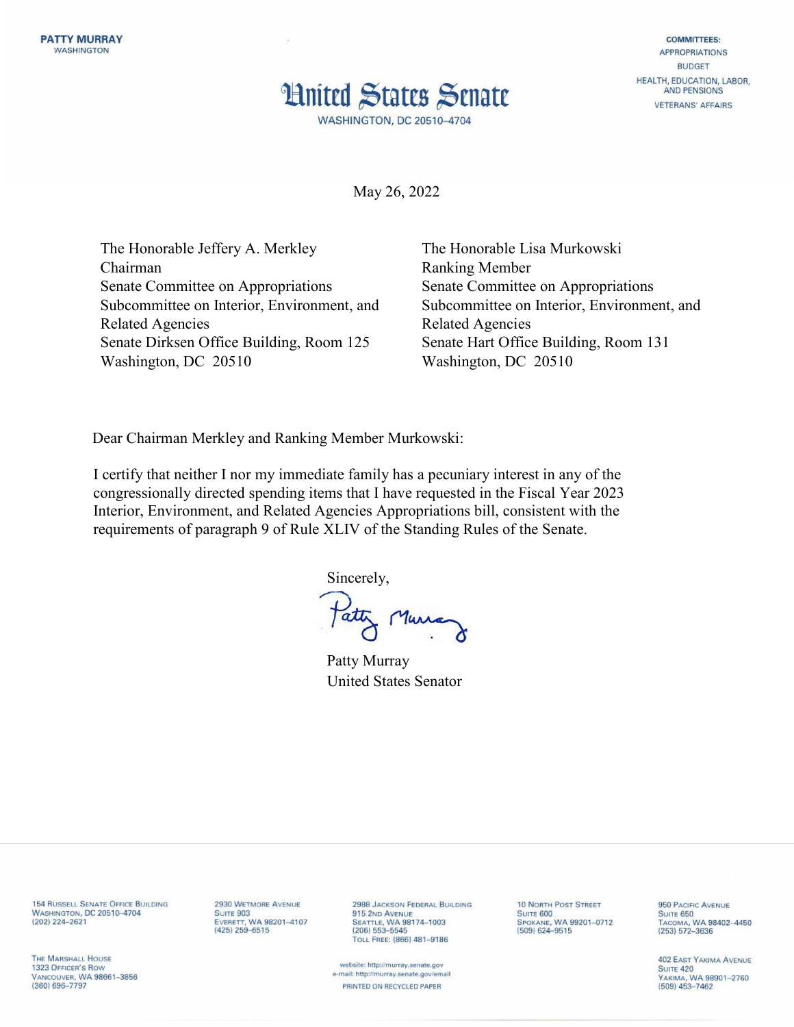

**COMMITTEES: APPROPRIATIONS BUDGET** HEALTH, EDUCATION, LABOR, AND PENSIONS **VETERANS' AFFAIRS** 

May 26, 2022

The Honorable Jeffery A. Merkley Chairman Senate Committee on Appropriations Subcommittee on Interior, Environment, and Related Agencies Senate Dirksen Office Building, Room 125 Washington, DC 20510

The Honorable Lisa Murkowski Ranking Member Senate Committee on Appropriations Subcommittee on Interior, Environment, and Related Agencies Senate Hart Office Building, Room 131 Washington, DC 20510

Dear Chairman Merkley and Ranking Member Murkowski:

I certify that neither I nor my immediate family has a pecuniary interest in any of the congressionally directed spending items that I have requested in the Fiscal Year 2023 Interior, Environment, and Related Agencies Appropriations bill, consistent with the requirements of paragraph 9 of Rule XLIV of the Standing Rules of the Senate.

Sincerely,

Patty Murray

Patty Murray United States Senator

**154 RUSSELL SENATE OFFICE BUILDING** WASHINGTON, DC 20510-4704<br>(202) 224-2621

2930 WETMORE AVENUE **SUITE 903** EVERETT, WA 98201-4107  $(425)$   $259 - 6515$ 

2988 JACKSON FEDERAL BUILDING 915 2ND AVENUE<br>SEATTLE, WA 98174-1003  $(206) 553 - 5545$ TOLL FREE: (866) 481-9186

website: http://murray.senate.gov e-mail: http://murray.senate.gov/email PRINTED ON RECYCLED PAPER

**10 NORTH POST STREET** SUITE 600 (509) 624-9515

950 PACIFIC AVENUE SUITE 650<br>TACOMA, WA 98402-4450  $(253) 572 - 3636$ 

**402 EAST YAKIMA AVENUE SUITE 420** YAKIMA, WA 98901-2760  $(509)$  453-7462

THE MARSHALL HOUSE 1323 OFFICER'S ROW VANCOUVER, WA 98661-3856 (360) 696-7797